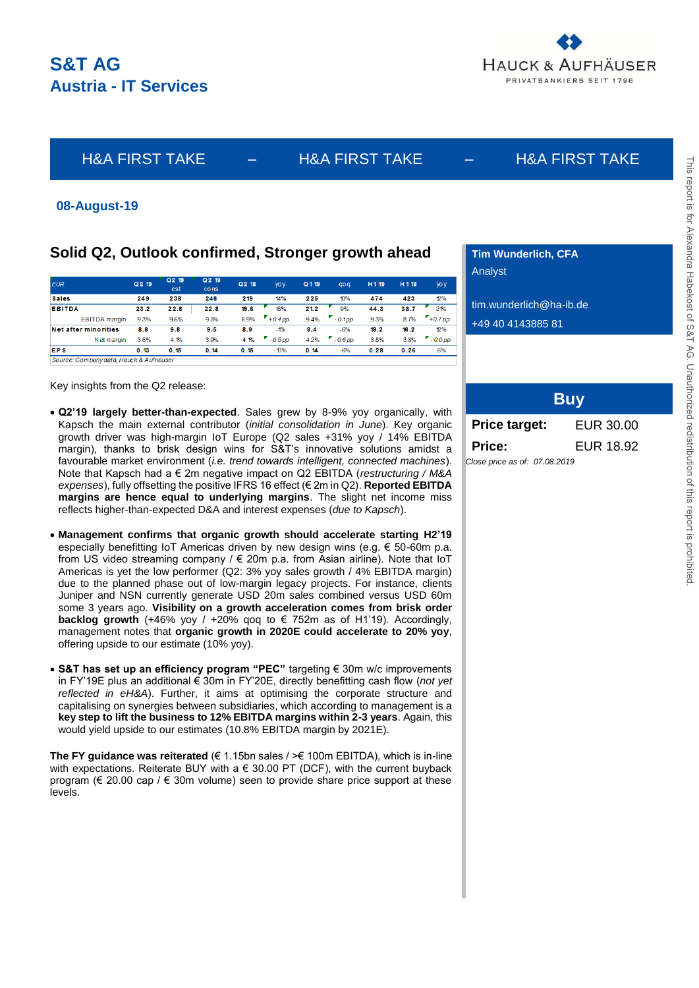

# H&A FIRST TAKE – H&A FIRST TAKE – H&A FIRST TAKE

## **08-August-19**

# **Solid Q2, Outlook confirmed, Stronger growth ahead**

| <b>EUR</b>                  | Q <sub>2</sub> 19 | Q <sub>2</sub> 19<br>est | Q 2 19<br>cons. | Q2 18 | <b>VOV</b> | Q 1 19 | <b>aoa</b> | H <sub>119</sub> | H 1 18 | yo y      |
|-----------------------------|-------------------|--------------------------|-----------------|-------|------------|--------|------------|------------------|--------|-----------|
| <b>Sales</b>                | 249               | 238                      | 246             | 219   | 14%        | 225    | 10%        | 474              | 423    | 2%        |
| <b>EBITDA</b>               | 23.2              | 22.8                     | 22.8            | 19.6  | 18%        | 21.2   | 9%         | 44.3             | 36.7   | 21%       |
| <b>EBITDA</b> margin        | 9.3%              | 9.6%                     | 9.3%            | 8.9%  | $+0.4$ pp  | 9.4%   | $-0.1$ pp  | 9.3%             | 8.7%   | $+0.7$ pp |
| <b>Net after minorities</b> | 8.8               | 9.8                      | 9.5             | 8.9   | $-1\%$     | 9.4    | $-6%$      | 18.2             | 16.2   | 12%       |
| Net margin                  | 3.6%              | 4.1%                     | 3.9%            | 4.1%  | $-0.5$ DD  | 4.2%   | $-0.6$ DO  | 3.8%             | 3.8%   | $-0.0$ pp |
| <b>EPS</b>                  | 0.13              | 0.15                     | 0.14            | 0.15  | $-10%$     | 0.14   | $-6%$      | 0.28             | 0.26   | 6%        |

Source: Company data, Hauck & Aufhäuser

Key insights from the Q2 release:

- **Q2'19 largely better-than-expected**. Sales grew by 8-9% yoy organically, with Kapsch the main external contributor (*initial consolidation in June*). Key organic growth driver was high-margin IoT Europe (Q2 sales +31% yoy / 14% EBITDA margin), thanks to brisk design wins for S&T's innovative solutions amidst a favourable market environment (*i.e. trend towards intelligent, connected machines*). Note that Kapsch had a € 2m negative impact on Q2 EBITDA (*restructuring / M&A expenses*), fully offsetting the positive IFRS 16 effect (€ 2m in Q2). **Reported EBITDA margins are hence equal to underlying margins**. The slight net income miss reflects higher-than-expected D&A and interest expenses (*due to Kapsch*).
- **Management confirms that organic growth should accelerate starting H2'19** especially benefitting IoT Americas driven by new design wins (e.g. € 50-60m p.a. from US video streaming company /  $\in$  20m p.a. from Asian airline). Note that IoT Americas is yet the low performer (Q2: 3% yoy sales growth / 4% EBITDA margin) due to the planned phase out of low-margin legacy projects. For instance, clients Juniper and NSN currently generate USD 20m sales combined versus USD 60m some 3 years ago. **Visibility on a growth acceleration comes from brisk order backlog growth** (+46% yoy / +20% qoq to € 752m as of H1'19). Accordingly, management notes that **organic growth in 2020E could accelerate to 20% yoy**, offering upside to our estimate (10% yoy).
- **S&T has set up an efficiency program "PEC"** targeting € 30m w/c improvements in FY'19E plus an additional € 30m in FY'20E, directly benefitting cash flow (*not yet reflected in eH&A*). Further, it aims at optimising the corporate structure and capitalising on synergies between subsidiaries, which according to management is a **key step to lift the business to 12% EBITDA margins within 2-3 years**. Again, this would yield upside to our estimates (10.8% EBITDA margin by 2021E).

**The FY guidance was reiterated** (€ 1.15bn sales / >€ 100m EBITDA), which is in-line with expectations. Reiterate BUY with a  $\epsilon$  30.00 PT (DCF), with the current buyback program ( $\epsilon$  20.00 cap /  $\epsilon$  30m volume) seen to provide share price support at these levels.

**Tim Wunderlich, CFA** Analyst

tim.wunderlich@ha-ib.de

+49 40 4143885 81

|                               | <b>Buy</b> |
|-------------------------------|------------|
| <b>Price target:</b>          | EUR 30.00  |
| Price:                        | EUR 18.92  |
| Close price as of: 07.08.2019 |            |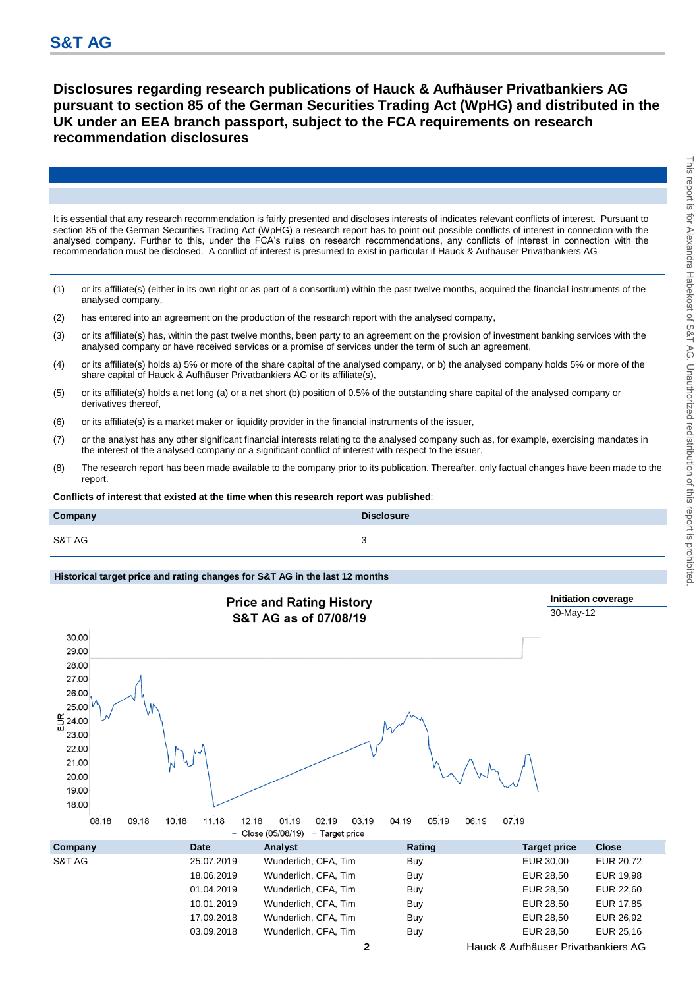**Disclosures regarding research publications of Hauck & Aufhäuser Privatbankiers AG pursuant to section 85 of the German Securities Trading Act (WpHG) and distributed in the UK under an EEA branch passport, subject to the FCA requirements on research recommendation disclosures**

It is essential that any research recommendation is fairly presented and discloses interests of indicates relevant conflicts of interest. Pursuant to section 85 of the German Securities Trading Act (WpHG) a research report has to point out possible conflicts of interest in connection with the analysed company. Further to this, under the FCA's rules on research recommendations, any conflicts of interest in connection with the recommendation must be disclosed. A conflict of interest is presumed to exist in particular if Hauck & Aufhäuser Privatbankiers AG

- (1) or its affiliate(s) (either in its own right or as part of a consortium) within the past twelve months, acquired the financial instruments of the analysed company,
- (2) has entered into an agreement on the production of the research report with the analysed company,
- (3) or its affiliate(s) has, within the past twelve months, been party to an agreement on the provision of investment banking services with the analysed company or have received services or a promise of services under the term of such an agreement,
- (4) or its affiliate(s) holds a) 5% or more of the share capital of the analysed company, or b) the analysed company holds 5% or more of the share capital of Hauck & Aufhäuser Privatbankiers AG or its affiliate(s),
- (5) or its affiliate(s) holds a net long (a) or a net short (b) position of 0.5% of the outstanding share capital of the analysed company or derivatives thereof,
- (6) or its affiliate(s) is a market maker or liquidity provider in the financial instruments of the issuer,
- (7) or the analyst has any other significant financial interests relating to the analysed company such as, for example, exercising mandates in the interest of the analysed company or a significant conflict of interest with respect to the issuer,
- (8) The research report has been made available to the company prior to its publication. Thereafter, only factual changes have been made to the report.

**Conflicts of interest that existed at the time when this research report was published**:

| Company | <b>Disclosure</b> |
|---------|-------------------|
| S&T AG  | ັ                 |

### **Historical target price and rating changes for S&T AG in the last 12 months**



03.09.2018 Wunderlich, CFA, Tim Buy Buy EUR 28,50 EUR 25,16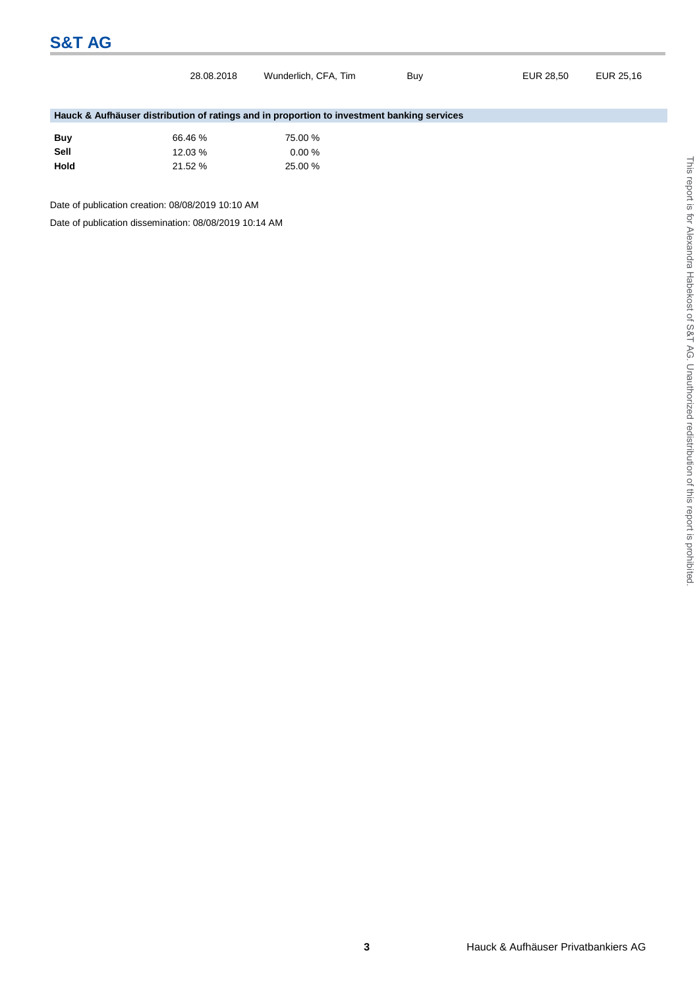# **S&T AG**

|                                                                                            | 28.08.2018 | Wunderlich, CFA, Tim | Buy | EUR 28,50 | EUR 25,16 |  |  |  |
|--------------------------------------------------------------------------------------------|------------|----------------------|-----|-----------|-----------|--|--|--|
|                                                                                            |            |                      |     |           |           |  |  |  |
|                                                                                            |            |                      |     |           |           |  |  |  |
| Hauck & Aufhäuser distribution of ratings and in proportion to investment banking services |            |                      |     |           |           |  |  |  |
|                                                                                            |            |                      |     |           |           |  |  |  |
| <b>Buy</b>                                                                                 | 66.46 %    | 75.00 %              |     |           |           |  |  |  |
| Sell                                                                                       | 12.03 %    | $0.00 \%$            |     |           |           |  |  |  |
| <b>Hold</b>                                                                                | 21.52 %    | 25.00 %              |     |           |           |  |  |  |
|                                                                                            |            |                      |     |           |           |  |  |  |
|                                                                                            |            |                      |     |           |           |  |  |  |

Date of publication creation: 08/08/2019 10:10 AM

Date of publication dissemination: 08/08/2019 10:14 AM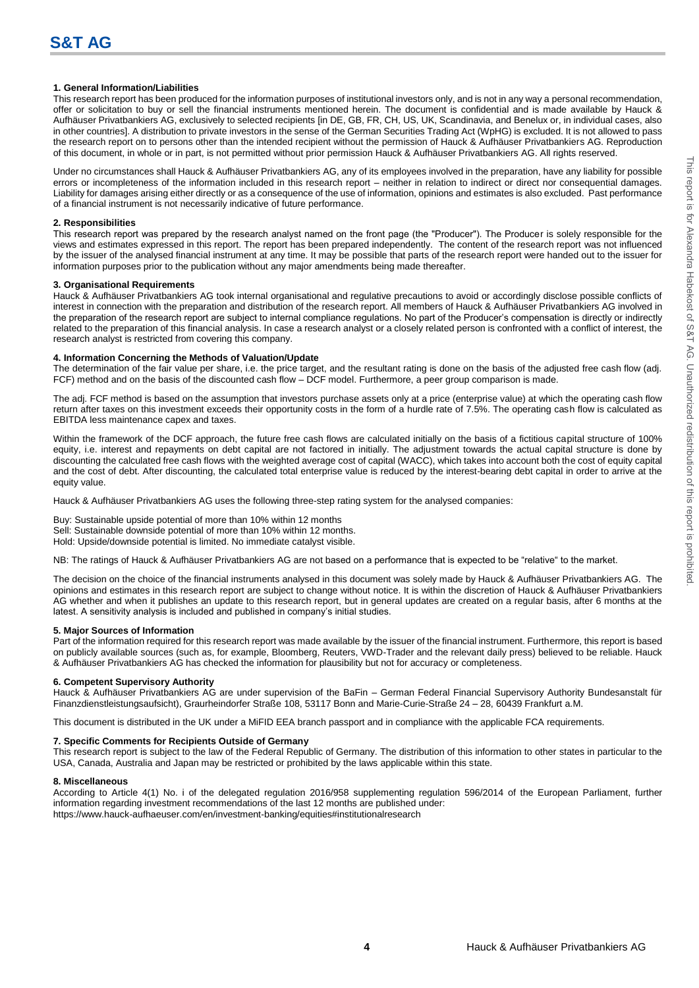### **1. General Information/Liabilities**

This research report has been produced for the information purposes of institutional investors only, and is not in any way a personal recommendation, offer or solicitation to buy or sell the financial instruments mentioned herein. The document is confidential and is made available by Hauck & Aufhäuser Privatbankiers AG, exclusively to selected recipients [in DE, GB, FR, CH, US, UK, Scandinavia, and Benelux or, in individual cases, also in other countries]. A distribution to private investors in the sense of the German Securities Trading Act (WpHG) is excluded. It is not allowed to pass the research report on to persons other than the intended recipient without the permission of Hauck & Aufhäuser Privatbankiers AG. Reproduction of this document, in whole or in part, is not permitted without prior permission Hauck & Aufhäuser Privatbankiers AG. All rights reserved.

Under no circumstances shall Hauck & Aufhäuser Privatbankiers AG, any of its employees involved in the preparation, have any liability for possible errors or incompleteness of the information included in this research report – neither in relation to indirect or direct nor consequential damages. Liability for damages arising either directly or as a consequence of the use of information, opinions and estimates is also excluded. Past performance of a financial instrument is not necessarily indicative of future performance.

#### **2. Responsibilities**

This research report was prepared by the research analyst named on the front page (the "Producer"). The Producer is solely responsible for the views and estimates expressed in this report. The report has been prepared independently. The content of the research report was not influenced by the issuer of the analysed financial instrument at any time. It may be possible that parts of the research report were handed out to the issuer for information purposes prior to the publication without any major amendments being made thereafter.

#### **3. Organisational Requirements**

Hauck & Aufhäuser Privatbankiers AG took internal organisational and regulative precautions to avoid or accordingly disclose possible conflicts of interest in connection with the preparation and distribution of the research report. All members of Hauck & Aufhäuser Privatbankiers AG involved in the preparation of the research report are subject to internal compliance regulations. No part of the Producer's compensation is directly or indirectly related to the preparation of this financial analysis. In case a research analyst or a closely related person is confronted with a conflict of interest, the research analyst is restricted from covering this company.

#### **4. Information Concerning the Methods of Valuation/Update**

The determination of the fair value per share, i.e. the price target, and the resultant rating is done on the basis of the adjusted free cash flow (adj. FCF) method and on the basis of the discounted cash flow – DCF model. Furthermore, a peer group comparison is made.

The adj. FCF method is based on the assumption that investors purchase assets only at a price (enterprise value) at which the operating cash flow return after taxes on this investment exceeds their opportunity costs in the form of a hurdle rate of 7.5%. The operating cash flow is calculated as EBITDA less maintenance capex and taxes.

Within the framework of the DCF approach, the future free cash flows are calculated initially on the basis of a fictitious capital structure of 100% equity, i.e. interest and repayments on debt capital are not factored in initially. The adjustment towards the actual capital structure is done by discounting the calculated free cash flows with the weighted average cost of capital (WACC), which takes into account both the cost of equity capital and the cost of debt. After discounting, the calculated total enterprise value is reduced by the interest-bearing debt capital in order to arrive at the equity value.

Hauck & Aufhäuser Privatbankiers AG uses the following three-step rating system for the analysed companies:

Buy: Sustainable upside potential of more than 10% within 12 months Sell: Sustainable downside potential of more than 10% within 12 months. Hold: Upside/downside potential is limited. No immediate catalyst visible.

NB: The ratings of Hauck & Aufhäuser Privatbankiers AG are not based on a performance that is expected to be "relative" to the market.

The decision on the choice of the financial instruments analysed in this document was solely made by Hauck & Aufhäuser Privatbankiers AG. The opinions and estimates in this research report are subject to change without notice. It is within the discretion of Hauck & Aufhäuser Privatbankiers AG whether and when it publishes an update to this research report, but in general updates are created on a regular basis, after 6 months at the latest. A sensitivity analysis is included and published in company's initial studies.

#### **5. Major Sources of Information**

Part of the information required for this research report was made available by the issuer of the financial instrument. Furthermore, this report is based on publicly available sources (such as, for example, Bloomberg, Reuters, VWD-Trader and the relevant daily press) believed to be reliable. Hauck & Aufhäuser Privatbankiers AG has checked the information for plausibility but not for accuracy or completeness.

#### **6. Competent Supervisory Authority**

Hauck & Aufhäuser Privatbankiers AG are under supervision of the BaFin – German Federal Financial Supervisory Authority Bundesanstalt für Finanzdienstleistungsaufsicht), Graurheindorfer Straße 108, 53117 Bonn and Marie-Curie-Straße 24 – 28, 60439 Frankfurt a.M.

This document is distributed in the UK under a MiFID EEA branch passport and in compliance with the applicable FCA requirements.

#### **7. Specific Comments for Recipients Outside of Germany**

This research report is subject to the law of the Federal Republic of Germany. The distribution of this information to other states in particular to the USA, Canada, Australia and Japan may be restricted or prohibited by the laws applicable within this state.

#### **8. Miscellaneous**

According to Article 4(1) No. i of the delegated regulation 2016/958 supplementing regulation 596/2014 of the European Parliament, further information regarding investment recommendations of the last 12 months are published under: https://www.hauck-aufhaeuser.com/en/investment-banking/equities#institutionalresearch